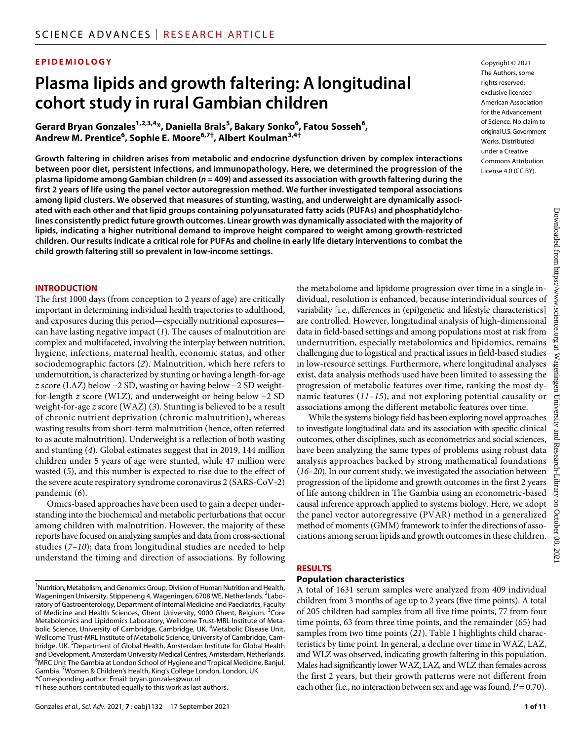### **EPIDEMIOLOGY**

# **Plasma lipids and growth faltering: A longitudinal cohort study in rural Gambian children**

 $\mathsf{Gerard}\ \mathsf{Bryan}\ \mathsf{Gonzales}^{\mathsf{1,2,3,4}}$ , Daniella Brals $^{\mathsf{5}}$ , Bakary Sonko $^{\mathsf{6}}$ , Fatou Sosseh $^{\mathsf{6}}$ , **Andrew M. Prentice6 , Sophie E. Moore6,7† , Albert Koulman3,4†**

**Growth faltering in children arises from metabolic and endocrine dysfunction driven by complex interactions between poor diet, persistent infections, and immunopathology. Here, we determined the progression of the plasma lipidome among Gambian children (***n* **= 409) and assessed its association with growth faltering during the first 2 years of life using the panel vector autoregression method. We further investigated temporal associations among lipid clusters. We observed that measures of stunting, wasting, and underweight are dynamically associated with each other and that lipid groups containing polyunsaturated fatty acids (PUFAs) and phosphatidylcholines consistently predict future growth outcomes. Linear growth was dynamically associated with the majority of lipids, indicating a higher nutritional demand to improve height compared to weight among growth-restricted children. Our results indicate a critical role for PUFAs and choline in early life dietary interventions to combat the child growth faltering still so prevalent in low-income settings.**

#### **INTRODUCTION**

The first 1000 days (from conception to 2 years of age) are critically important in determining individual health trajectories to adulthood, and exposures during this period—especially nutritional exposures can have lasting negative impact (*1*). The causes of malnutrition are complex and multifaceted, involving the interplay between nutrition, hygiene, infections, maternal health, economic status, and other sociodemographic factors (*2*). Malnutrition, which here refers to undernutrition, is characterized by stunting or having a length-for-age *z* score (LAZ) below −2 SD, wasting or having below −2 SD weightfor-length *z* score (WLZ), and underweight or being below −2 SD weight-for-age *z* score (WAZ) (*3*). Stunting is believed to be a result of chronic nutrient deprivation (chronic malnutrition), whereas wasting results from short-term malnutrition (hence, often referred to as acute malnutrition). Underweight is a reflection of both wasting and stunting (*4*). Global estimates suggest that in 2019, 144 million children under 5 years of age were stunted, while 47 million were wasted (*5*), and this number is expected to rise due to the effect of the severe acute respiratory syndrome coronavirus 2 (SARS-CoV-2) pandemic (*6*).

Omics-based approaches have been used to gain a deeper understanding into the biochemical and metabolic perturbations that occur among children with malnutrition. However, the majority of these reports have focused on analyzing samples and data from cross-sectional studies (*7*–*10*); data from longitudinal studies are needed to help understand the timing and direction of associations. By following

†These authors contributed equally to this work as last authors.

Copyright © 2021 The Authors, some rights reserved: exclusive licensee American Association for the Advancement of Science. No claim to original U.S.Government Works. Distributed under a Creative Commons Attribution License 4.0 (CC BY).

the metabolome and lipidome progression over time in a single individual, resolution is enhanced, because interindividual sources of variability [i.e., differences in (epi)genetic and lifestyle characteristics] are controlled. However, longitudinal analysis of high-dimensional data in field-based settings and among populations most at risk from undernutrition, especially metabolomics and lipidomics, remains challenging due to logistical and practical issues in field-based studies in low-resource settings. Furthermore, where longitudinal analyses exist, data analysis methods used have been limited to assessing the progression of metabolic features over time, ranking the most dynamic features (*11*–*15*), and not exploring potential causality or associations among the different metabolic features over time.

While the systems biology field has been exploring novel approaches to investigate longitudinal data and its association with specific clinical outcomes, other disciplines, such as econometrics and social sciences, have been analyzing the same types of problems using robust data analysis approaches backed by strong mathematical foundations (*16*–*20*). In our current study, we investigated the association between progression of the lipidome and growth outcomes in the first 2 years of life among children in The Gambia using an econometric-based causal inference approach applied to systems biology. Here, we adopt the panel vector autoregressive (PVAR) method in a generalized method of moments (GMM) framework to infer the directions of associations among serum lipids and growth outcomes in these children.

#### **RESULTS**

#### **Population characteristics**

A total of 1631 serum samples were analyzed from 409 individual children from 3 months of age up to 2 years (five time points). A total of 205 children had samples from all five time points, 77 from four time points, 63 from three time points, and the remainder (65) had samples from two time points (*21*). Table 1 highlights child characteristics by time point. In general, a decline over time in WAZ, LAZ, and WLZ was observed, indicating growth faltering in this population. Males had significantly lower WAZ, LAZ, and WLZ than females across the first 2 years, but their growth patterns were not different from each other (i.e., no interaction between sex and age was found,  $P = 0.70$ ).

<sup>&</sup>lt;sup>1</sup> Nutrition, Metabolism, and Genomics Group, Division of Human Nutrition and Health, Wageningen University, Stippeneng 4, Wageningen, 6708 WE, Netherlands. <sup>2</sup>Laboratory of Gastroenterology, Department of Internal Medicine and Paediatrics, Faculty of Medicine and Health Sciences, Ghent University, 9000 Ghent, Belgium. <sup>3</sup>Core Metabolomics and Lipidomics Laboratory, Wellcome Trust-MRL Institute of Metabolic Science, University of Cambridge, Cambridge, UK. <sup>4</sup>Metabolic Disease Unit, Wellcome Trust-MRL Institute of Metabolic Science, University of Cambridge, Cambridge, UK. <sup>5</sup>Department of Global Health, Amsterdam Institute for Global Health and Development, Amsterdam University Medical Centres, Amsterdam, Netherlands. <sup>6</sup>MRC Un<u>i</u>t The Gambia at London School of Hygiene and Tropical Medicine, Banjul, Gambia. <sup>7</sup> Women & Children's Health, King's College London, London, UK. \*Corresponding author. Email: [bryan.gonzales@wur.nl](mailto:bryan.gonzales@wur.nl)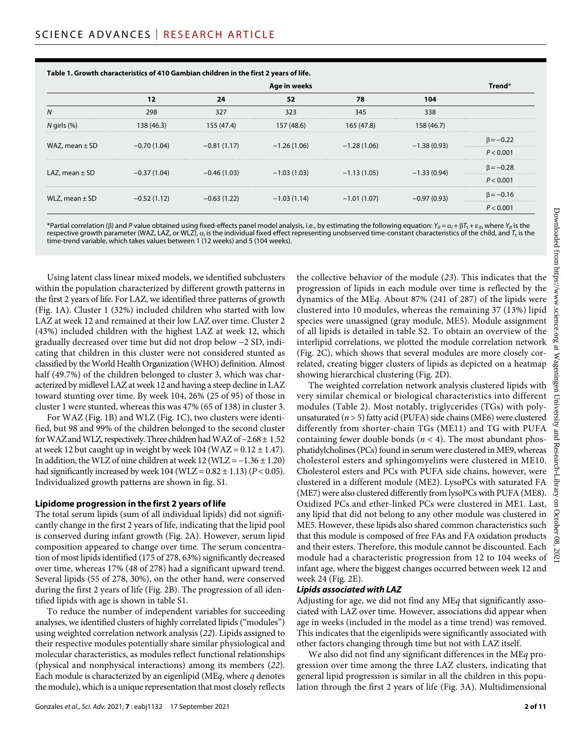|                    | Age in weeks  |               |               |               |               |                 |
|--------------------|---------------|---------------|---------------|---------------|---------------|-----------------|
|                    | 12            | 24            | 52            | 78            | 104           |                 |
| N                  | 298           | 327           | 323           | 345           | 338           |                 |
| $N$ girls $(\%)$   | 138 (46.3)    | 155 (47.4)    | 157 (48.6)    | 165 (47.8)    | 158 (46.7)    |                 |
| WAZ, mean $\pm$ SD | $-0.70(1.04)$ | $-0.81(1.17)$ | $-1.26(1.06)$ | $-1.28(1.06)$ | $-1.38(0.93)$ | $\beta = -0.22$ |
|                    |               |               |               |               |               | P < 0.001       |
| LAZ, mean $\pm$ SD | $-0.37(1.04)$ | $-0.46(1.03)$ | $-1.03(1.03)$ | $-1.13(1.05)$ | $-1.33(0.94)$ | $\beta = -0.28$ |
|                    |               |               |               |               |               | <br>P < 0.001   |
| WLZ, mean $\pm$ SD | $-0.52(1.12)$ | $-0.63(1.22)$ | $-1.03(1.14)$ | $-1.01(1.07)$ | $-0.97(0.93)$ | $\beta = -0.16$ |
|                    |               |               |               |               |               | <br>P < 0.001   |

**Table 1. Growth characteristics of 410 Gambian children in the first 2 years of life.**

\*Partial correlation ( $\beta$ ) and *P* value obtained using fixed-effects panel model analysis, i.e., by estimating the following equation:  $Y_{it} = \alpha_i + \beta T_t + \varepsilon_{it}$ , where  $Y_{it}$  is the respective growth parameter (WAZ, LAZ, or WLZ),  $a_i$  is the individual fixed effect representing unobserved time-constant characteristics of the child, and *T*<sub>t</sub> is the time-trend variable, which takes values between 1 (12 weeks) and 5 (104 weeks).

Using latent class linear mixed models, we identified subclusters within the population characterized by different growth patterns in the first 2 years of life. For LAZ, we identified three patterns of growth (Fig. 1A). Cluster 1 (32%) included children who started with low LAZ at week 12 and remained at their low LAZ over time. Cluster 2 (43%) included children with the highest LAZ at week 12, which gradually decreased over time but did not drop below −2 SD, indicating that children in this cluster were not considered stunted as classified by the World Health Organization (WHO) definition. Almost half (49.7%) of the children belonged to cluster 3, which was characterized by midlevel LAZ at week 12 and having a steep decline in LAZ toward stunting over time. By week 104, 26% (25 of 95) of those in cluster 1 were stunted, whereas this was 47% (65 of 138) in cluster 3.

For WAZ (Fig. 1B) and WLZ (Fig. 1C), two clusters were identified, but 98 and 99% of the children belonged to the second cluster for WAZ and WLZ, respectively. Three children had WAZ of −2.68 ± 1.52 at week 12 but caught up in weight by week 104 (WAZ =  $0.12 \pm 1.47$ ). In addition, the WLZ of nine children at week  $12$  (WLZ =  $-1.36 \pm 1.20$ ) had significantly increased by week 104 (WLZ = 0.82 ± 1.13) (*P* < 0.05). Individualized growth patterns are shown in fig. S1.

#### **Lipidome progression in the first 2 years oflife**

The total serum lipids (sum of all individual lipids) did not significantly change in the first 2 years of life, indicating that the lipid pool is conserved during infant growth (Fig. 2A). However, serum lipid composition appeared to change over time. The serum concentration of most lipids identified (175 of 278, 63%) significantly decreased over time, whereas 17% (48 of 278) had a significant upward trend. Several lipids (55 of 278, 30%), on the other hand, were conserved during the first 2 years of life (Fig. 2B). The progression of all identified lipids with age is shown in table S1.

To reduce the number of independent variables for succeeding analyses, we identified clusters of highly correlated lipids ("modules") using weighted correlation network analysis (*22*). Lipids assigned to their respective modules potentially share similar physiological and molecular characteristics, as modules reflect functional relationships (physical and nonphysical interactions) among its members (*22*). Each module is characterized by an eigenlipid (ME*q*, where *q* denotes the module), which is a unique representation that most closely reflects

Gonzales *et al*., *Sci. Adv.* 2021; **7** : eabj1132 17 September 2021

the collective behavior of the module (*23*). This indicates that the progression of lipids in each module over time is reflected by the dynamics of the ME*q*. About 87% (241 of 287) of the lipids were clustered into 10 modules, whereas the remaining 37 (13%) lipid species were unassigned (gray module, ME5). Module assignment of all lipids is detailed in table S2. To obtain an overview of the interlipid correlations, we plotted the module correlation network (Fig. 2C), which shows that several modules are more closely correlated, creating bigger clusters of lipids as depicted on a heatmap showing hierarchical clustering (Fig. 2D).

The weighted correlation network analysis clustered lipids with very similar chemical or biological characteristics into different modules (Table 2). Most notably, triglycerides (TGs) with polyunsaturated (*n* > 5) fatty acid (PUFA) side chains (ME6) were clustered differently from shorter-chain TGs (ME11) and TG with PUFA containing fewer double bonds  $(n < 4)$ . The most abundant phosphatidylcholines (PCs) found in serum were clustered in ME9, whereas cholesterol esters and sphingomyelins were clustered in ME10. Cholesterol esters and PCs with PUFA side chains, however, were clustered in a different module (ME2). LysoPCs with saturated FA (ME7) were also clustered differently from lysoPCs with PUFA (ME8). Oxidized PCs and ether-linked PCs were clustered in ME1. Last, any lipid that did not belong to any other module was clustered in ME5. However, these lipids also shared common characteristics such that this module is composed of free FAs and FA oxidation products and their esters. Therefore, this module cannot be discounted. Each module had a characteristic progression from 12 to 104 weeks of infant age, where the biggest changes occurred between week 12 and week 24 (Fig. 2E).

#### *Lipids associated with LAZ*

Adjusting for age, we did not find any ME*q* that significantly associated with LAZ over time. However, associations did appear when age in weeks (included in the model as a time trend) was removed. This indicates that the eigenlipids were significantly associated with other factors changing through time but not with LAZ itself.

We also did not find any significant differences in the ME*q* progression over time among the three LAZ clusters, indicating that general lipid progression is similar in all the children in this population through the first 2 years of life (Fig. 3A). Multidimensional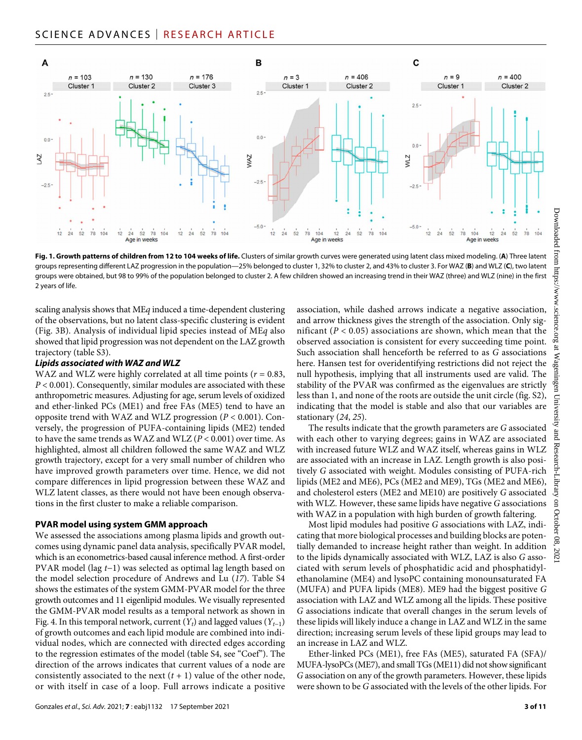

**Fig. 1. Growth patterns of children from 12 to 104 weeks of life.** Clusters of similar growth curves were generated using latent class mixed modeling. (**A**) Three latent groups representing different LAZ progression in the population—25% belonged to cluster 1, 32% to cluster 2, and 43% to cluster 3. For WAZ (**B**) and WLZ (**C**), two latent groups were obtained, but 98 to 99% of the population belonged to cluster 2. A few children showed an increasing trend in their WAZ (three) and WLZ (nine) in the first 2 years of life.

scaling analysis shows that ME*q* induced a time-dependent clustering of the observations, but no latent class-specific clustering is evident (Fig. 3B). Analysis of individual lipid species instead of ME*q* also showed that lipid progression was not dependent on the LAZ growth trajectory (table S3).

#### *Lipids associated with WAZ and WLZ*

WAZ and WLZ were highly correlated at all time points (*r* = 0.83, *P* < 0.001). Consequently, similar modules are associated with these anthropometric measures. Adjusting for age, serum levels of oxidized and ether-linked PCs (ME1) and free FAs (ME5) tend to have an opposite trend with WAZ and WLZ progression (*P* < 0.001). Conversely, the progression of PUFA-containing lipids (ME2) tended to have the same trends as WAZ and WLZ (*P* < 0.001) over time. As highlighted, almost all children followed the same WAZ and WLZ growth trajectory, except for a very small number of children who have improved growth parameters over time. Hence, we did not compare differences in lipid progression between these WAZ and WLZ latent classes, as there would not have been enough observations in the first cluster to make a reliable comparison.

#### **PVAR model using system GMM approach**

We assessed the associations among plasma lipids and growth outcomes using dynamic panel data analysis, specifically PVAR model, which is an econometrics-based causal inference method. A first-order PVAR model (lag *t*−1) was selected as optimal lag length based on the model selection procedure of Andrews and Lu (*17*). Table S4 shows the estimates of the system GMM-PVAR model for the three growth outcomes and 11 eigenlipid modules. We visually represented the GMM-PVAR model results as a temporal network as shown in Fig. 4. In this temporal network, current (*Yt*) and lagged values (*Yt*−1) of growth outcomes and each lipid module are combined into individual nodes, which are connected with directed edges according to the regression estimates of the model (table S4, see "Coef"). The direction of the arrows indicates that current values of a node are consistently associated to the next  $(t + 1)$  value of the other node, or with itself in case of a loop. Full arrows indicate a positive

association, while dashed arrows indicate a negative association, and arrow thickness gives the strength of the association. Only significant  $(P < 0.05)$  associations are shown, which mean that the observed association is consistent for every succeeding time point. Such association shall henceforth be referred to as *G* associations here. Hansen test for overidentifying restrictions did not reject the null hypothesis, implying that all instruments used are valid. The stability of the PVAR was confirmed as the eigenvalues are strictly less than 1, and none of the roots are outside the unit circle (fig. S2), indicating that the model is stable and also that our variables are stationary (*24*, *25*).

The results indicate that the growth parameters are *G* associated with each other to varying degrees; gains in WAZ are associated with increased future WLZ and WAZ itself, whereas gains in WLZ are associated with an increase in LAZ. Length growth is also positively *G* associated with weight. Modules consisting of PUFA-rich lipids (ME2 and ME6), PCs (ME2 and ME9), TGs (ME2 and ME6), and cholesterol esters (ME2 and ME10) are positively *G* associated with WLZ. However, these same lipids have negative *G* associations with WAZ in a population with high burden of growth faltering.

Most lipid modules had positive *G* associations with LAZ, indicating that more biological processes and building blocks are potentially demanded to increase height rather than weight. In addition to the lipids dynamically associated with WLZ, LAZ is also *G* associated with serum levels of phosphatidic acid and phosphatidylethanolamine (ME4) and lysoPC containing monounsaturated FA (MUFA) and PUFA lipids (ME8). ME9 had the biggest positive *G* association with LAZ and WLZ among all the lipids. These positive *G* associations indicate that overall changes in the serum levels of these lipids will likely induce a change in LAZ and WLZ in the same direction; increasing serum levels of these lipid groups may lead to an increase in LAZ and WLZ.

Ether-linked PCs (ME1), free FAs (ME5), saturated FA (SFA)/ MUFA-lysoPCs (ME7), and small TGs (ME11) did not show significant *G* association on any of the growth parameters. However, these lipids were shown to be *G* associated with the levels of the other lipids. For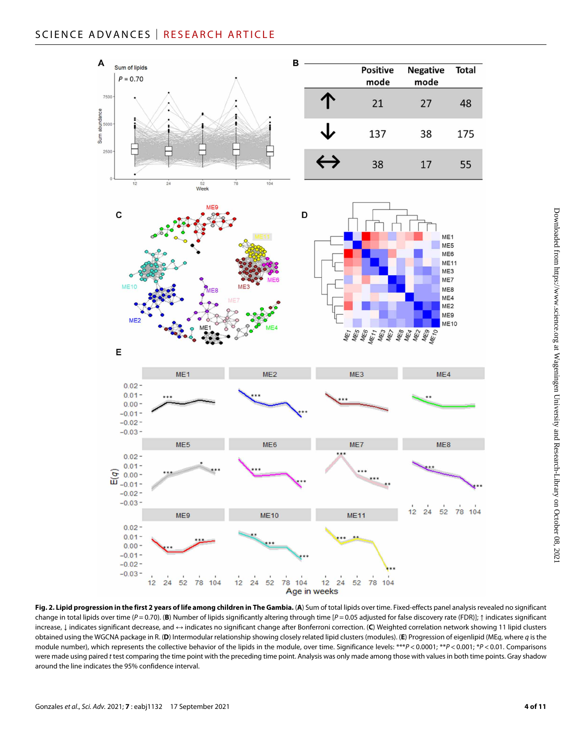# SCIENCE ADVANCES | RESEARCH ARTICLE



Fig. 2. Lipid progression in the first 2 years of life among children in The Gambia. (A) Sum of total lipids over time. Fixed-effects panel analysis revealed no significant change in total lipids over time (*P* = 0.70). (**B**) Number of lipids significantly altering through time [*P* = 0.05 adjusted for false discovery rate (FDR)]; ↑ indicates significant increase, ↓ indicates significant decrease, and ↔ indicates no significant change after Bonferroni correction. (**C**) Weighted correlation network showing 11 lipid clusters obtained using the WGCNA package in R. (**D**) Intermodular relationship showing closely related lipid clusters (modules). (**E**) Progression of eigenlipid (ME*q*, where *q* is the module number), which represents the collective behavior of the lipids in the module, over time. Significance levels: \*\*\**P* < 0.0001; \*\**P* < 0.001; \**P* < 0.01. Comparisons were made using paired *t* test comparing the time point with the preceding time point. Analysis was only made among those with values in both time points. Gray shadow around the line indicates the 95% confidence interval.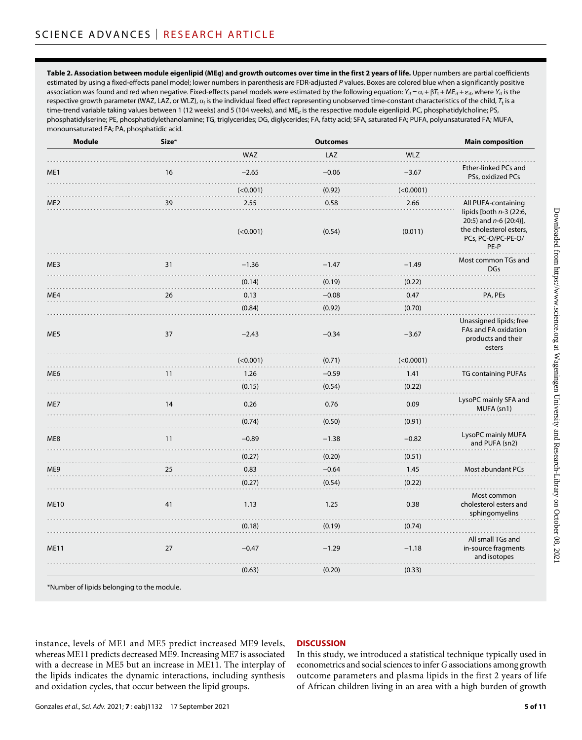**Table 2. Association between module eigenlipid (ME***q***) and growth outcomes over time in the first 2 years of life.** Upper numbers are partial coefficients estimated by using a fixed-effects panel model; lower numbers in parenthesis are FDR-adjusted *P* values. Boxes are colored blue when a significantly positive association was found and red when negative. Fixed-effects panel models were estimated by the following equation:  $Y_{it} = \alpha_i + \beta T_t + M E_{it} + \varepsilon_{it}$ , where  $Y_{it}$  is the respective growth parameter (WAZ, LAZ, or WLZ),  $a_i$  is the individual fixed effect representing unobserved time-constant characteristics of the child,  $T_t$  is a time-trend variable taking values between 1 (12 weeks) and 5 (104 weeks), and ME*it* is the respective module eigenlipid. PC, phosphatidylcholine; PS, phosphatidylserine; PE, phosphatidylethanolamine; TG, triglycerides; DG, diglycerides; FA, fatty acid; SFA, saturated FA; PUFA, polyunsaturated FA; MUFA, monounsaturated FA; PA, phosphatidic acid.

| <b>Module</b>   | Size* |            | <b>Outcomes</b> |            | <b>Main composition</b>                                                                                        |
|-----------------|-------|------------|-----------------|------------|----------------------------------------------------------------------------------------------------------------|
|                 |       | <b>WAZ</b> | LAZ             | <b>WLZ</b> |                                                                                                                |
| ME1             | 16    | $-2.65$    | $-0.06$         | $-3.67$    | <b>Ether-linked PCs and</b><br>PSs, oxidized PCs                                                               |
|                 |       | (<0.001)   | (0.92)          | (<0.0001)  |                                                                                                                |
| ME <sub>2</sub> | 39    | 2.55       | 0.58            | 2.66       | All PUFA-containing                                                                                            |
|                 |       | (<0.001)   | (0.54)          | (0.011)    | lipids [both $n-3$ (22:6,<br>20:5) and $n-6$ (20:4)],<br>the cholesterol esters,<br>PCs, PC-O/PC-PE-O/<br>PE-P |
| ME3             | 31    | $-1.36$    | $-1.47$<br>.    | $-1.49$    | Most common TGs and<br><b>DGs</b>                                                                              |
|                 |       | (0.14)     | (0.19)          | (0.22)     |                                                                                                                |
| ME4             | 26    | 0.13       | $-0.08$         | 0.47       | PA, PEs                                                                                                        |
|                 |       | (0.84)     | (0.92)          | (0.70)     |                                                                                                                |
| ME5             | 37    | $-2.43$    | $-0.34$         | $-3.67$    | Unassigned lipids; free<br>FAs and FA oxidation<br>products and their<br>esters                                |
|                 |       | ( < 0.001) | (0.71)          | (<0.0001)  |                                                                                                                |
| ME6             | 11    | 1.26       | $-0.59$         | 1.41       | <b>TG containing PUFAs</b>                                                                                     |
|                 |       | (0.15)     | (0.54)          | (0.22)     |                                                                                                                |
| ME7             | 14    | 0.26       | 0.76            | 0.09       | LysoPC mainly SFA and<br>MUFA (sn1)                                                                            |
|                 |       | (0.74)     | (0.50)          | (0.91)     |                                                                                                                |
| ME <sub>8</sub> | 11    | $-0.89$    | $-1.38$         | $-0.82$    | LysoPC mainly MUFA<br>and PUFA (sn2)                                                                           |
|                 |       | (0.27)     | (0.20)          | (0.51)     |                                                                                                                |
| ME9             | 25    | 0.83       | $-0.64$         | 1.45       | Most abundant PCs                                                                                              |
|                 |       | (0.27)     | (0.54)          | (0.22)     |                                                                                                                |
| <b>ME10</b>     | 41    | 1.13       | 1.25            | 0.38       | Most common<br>cholesterol esters and<br>sphingomyelins                                                        |
|                 |       | (0.18)     | (0.19)          | (0.74)     |                                                                                                                |
| <b>ME11</b>     | 27    | $-0.47$    | $-1.29$         | $-1.18$    | All small TGs and<br>in-source fragments<br>and isotopes                                                       |
|                 |       | (0.63)     | (0.20)          | (0.33)     |                                                                                                                |
|                 |       |            |                 |            |                                                                                                                |

\*Number of lipids belonging to the module.

instance, levels of ME1 and ME5 predict increased ME9 levels, whereas ME11 predicts decreased ME9. Increasing ME7 is associated with a decrease in ME5 but an increase in ME11. The interplay of the lipids indicates the dynamic interactions, including synthesis and oxidation cycles, that occur between the lipid groups.

### **DISCUSSION**

In this study, we introduced a statistical technique typically used in econometrics and social sciences to infer *G* associations among growth outcome parameters and plasma lipids in the first 2 years of life of African children living in an area with a high burden of growth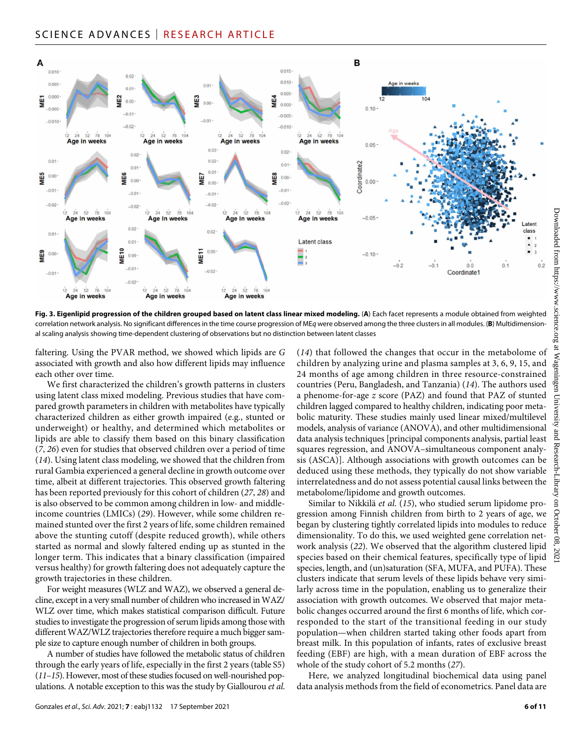# SCIENCE ADVANCES | RESEARCH ARTICLE



**Fig. 3. Eigenlipid progression of the children grouped based on latent class linear mixed modeling.** (**A**) Each facet represents a module obtained from weighted correlation network analysis. No significant differences in the time course progression of ME*q* were observed among the three clusters in all modules. (**B**) Multidimensional scaling analysis showing time-dependent clustering of observations but no distinction between latent classes

faltering. Using the PVAR method, we showed which lipids are *G* associated with growth and also how different lipids may influence each other over time.

We first characterized the children's growth patterns in clusters using latent class mixed modeling. Previous studies that have compared growth parameters in children with metabolites have typically characterized children as either growth impaired (e.g., stunted or underweight) or healthy, and determined which metabolites or lipids are able to classify them based on this binary classification (*7*, *26*) even for studies that observed children over a period of time (*14*). Using latent class modeling, we showed that the children from rural Gambia experienced a general decline in growth outcome over time, albeit at different trajectories. This observed growth faltering has been reported previously for this cohort of children (*27*, *28*) and is also observed to be common among children in low- and middleincome countries (LMICs) (*29*). However, while some children remained stunted over the first 2 years of life, some children remained above the stunting cutoff (despite reduced growth), while others started as normal and slowly faltered ending up as stunted in the longer term. This indicates that a binary classification (impaired versus healthy) for growth faltering does not adequately capture the growth trajectories in these children.

For weight measures (WLZ and WAZ), we observed a general decline, except in a very small number of children who increased in WAZ/ WLZ over time, which makes statistical comparison difficult. Future studies to investigate the progression of serum lipids among those with different WAZ/WLZ trajectories therefore require a much bigger sample size to capture enough number of children in both groups.

A number of studies have followed the metabolic status of children through the early years of life, especially in the first 2 years (table S5) (*11*–*15*). However, most of these studies focused on well-nourished populations. A notable exception to this was the study by Giallourou *et al*. (*14*) that followed the changes that occur in the metabolome of children by analyzing urine and plasma samples at 3, 6, 9, 15, and 24 months of age among children in three resource-constrained countries (Peru, Bangladesh, and Tanzania) (*14*). The authors used a phenome-for-age *z* score (PAZ) and found that PAZ of stunted children lagged compared to healthy children, indicating poor metabolic maturity. These studies mainly used linear mixed/multilevel models, analysis of variance (ANOVA), and other multidimensional data analysis techniques [principal components analysis, partial least squares regression, and ANOVA–simultaneous component analysis (ASCA)]. Although associations with growth outcomes can be deduced using these methods, they typically do not show variable interrelatedness and do not assess potential causal links between the metabolome/lipidome and growth outcomes.

Similar to Nikkilä *et al*. (*15*), who studied serum lipidome progression among Finnish children from birth to 2 years of age, we began by clustering tightly correlated lipids into modules to reduce dimensionality. To do this, we used weighted gene correlation network analysis (*22*). We observed that the algorithm clustered lipid species based on their chemical features, specifically type of lipid species, length, and (un)saturation (SFA, MUFA, and PUFA). These clusters indicate that serum levels of these lipids behave very similarly across time in the population, enabling us to generalize their association with growth outcomes. We observed that major metabolic changes occurred around the first 6 months of life, which corresponded to the start of the transitional feeding in our study population—when children started taking other foods apart from breast milk. In this population of infants, rates of exclusive breast feeding (EBF) are high, with a mean duration of EBF across the whole of the study cohort of 5.2 months (*27*).

Here, we analyzed longitudinal biochemical data using panel data analysis methods from the field of econometrics. Panel data are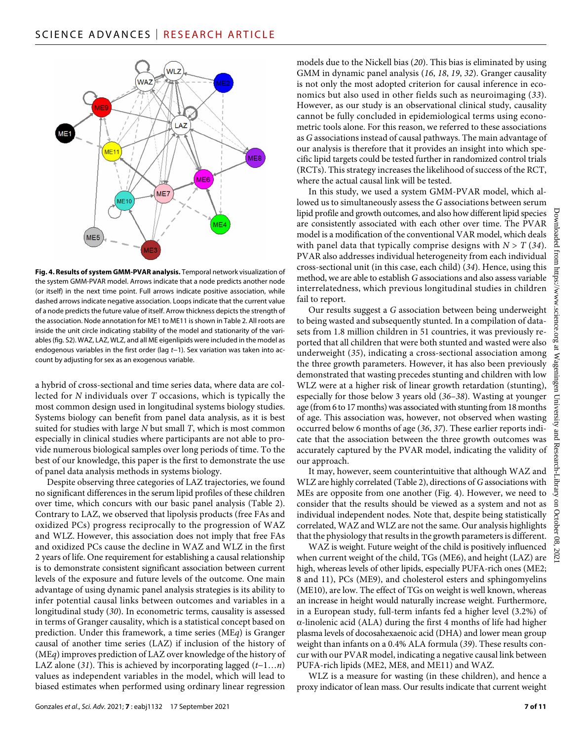

**Fig. 4. Results of system GMM-PVAR analysis.** Temporal network visualization of the system GMM-PVAR model. Arrows indicate that a node predicts another node (or itself) in the next time point. Full arrows indicate positive association, while dashed arrows indicate negative association. Loops indicate that the current value of a node predicts the future value of itself. Arrow thickness depicts the strength of the association. Node annotation for ME1 to ME11 is shown in Table 2. All roots are inside the unit circle indicating stability of the model and stationarity of the variables (fig. S2). WAZ, LAZ, WLZ, and all ME eigenlipids were included in the model as endogenous variables in the first order (lag *t*−1). Sex variation was taken into account by adjusting for sex as an exogenous variable.

a hybrid of cross-sectional and time series data, where data are collected for *N* individuals over *T* occasions, which is typically the most common design used in longitudinal systems biology studies. Systems biology can benefit from panel data analysis, as it is best suited for studies with large *N* but small *T*, which is most common especially in clinical studies where participants are not able to provide numerous biological samples over long periods of time. To the best of our knowledge, this paper is the first to demonstrate the use of panel data analysis methods in systems biology.

Despite observing three categories of LAZ trajectories, we found no significant differences in the serum lipid profiles of these children over time, which concurs with our basic panel analysis (Table 2). Contrary to LAZ, we observed that lipolysis products (free FAs and oxidized PCs) progress reciprocally to the progression of WAZ and WLZ. However, this association does not imply that free FAs and oxidized PCs cause the decline in WAZ and WLZ in the first 2 years of life. One requirement for establishing a causal relationship is to demonstrate consistent significant association between current levels of the exposure and future levels of the outcome. One main advantage of using dynamic panel analysis strategies is its ability to infer potential causal links between outcomes and variables in a longitudinal study (*30*). In econometric terms, causality is assessed in terms of Granger causality, which is a statistical concept based on prediction. Under this framework, a time series (ME*q*) is Granger causal of another time series (LAZ) if inclusion of the history of (ME*q*) improves prediction of LAZ over knowledge of the history of LAZ alone (*31*). This is achieved by incorporating lagged (*t*−1…*n*) values as independent variables in the model, which will lead to biased estimates when performed using ordinary linear regression

models due to the Nickell bias (*20*). This bias is eliminated by using GMM in dynamic panel analysis (*16*, *18*, *19*, *32*). Granger causality is not only the most adopted criterion for causal inference in economics but also used in other fields such as neuroimaging (*33*). However, as our study is an observational clinical study, causality cannot be fully concluded in epidemiological terms using econometric tools alone. For this reason, we referred to these associations as *G* associations instead of causal pathways. The main advantage of our analysis is therefore that it provides an insight into which specific lipid targets could be tested further in randomized control trials (RCTs). This strategy increases the likelihood of success of the RCT, where the actual causal link will be tested.

In this study, we used a system GMM-PVAR model, which allowed us to simultaneously assess the *G* associations between serum lipid profile and growth outcomes, and also how different lipid species are consistently associated with each other over time. The PVAR model is a modification of the conventional VAR model, which deals with panel data that typically comprise designs with  $N > T(34)$ . PVAR also addresses individual heterogeneity from each individual cross-sectional unit (in this case, each child) (*34*). Hence, using this method, we are able to establish *G* associations and also assess variable interrelatedness, which previous longitudinal studies in children fail to report.

Our results suggest a *G* association between being underweight to being wasted and subsequently stunted. In a compilation of datasets from 1.8 million children in 51 countries, it was previously reported that all children that were both stunted and wasted were also underweight (*35*), indicating a cross-sectional association among the three growth parameters. However, it has also been previously demonstrated that wasting precedes stunting and children with low WLZ were at a higher risk of linear growth retardation (stunting), especially for those below 3 years old (*36*–*38*). Wasting at younger age (from 6 to 17 months) was associated with stunting from 18 months of age. This association was, however, not observed when wasting occurred below 6 months of age (*36*, *37*). These earlier reports indicate that the association between the three growth outcomes was accurately captured by the PVAR model, indicating the validity of our approach.

It may, however, seem counterintuitive that although WAZ and WLZ are highly correlated (Table 2), directions of *G* associations with MEs are opposite from one another (Fig. 4). However, we need to consider that the results should be viewed as a system and not as individual independent nodes. Note that, despite being statistically correlated, WAZ and WLZ are not the same. Our analysis highlights that the physiology that results in the growth parameters is different.

WAZ is weight. Future weight of the child is positively influenced when current weight of the child, TGs (ME6), and height (LAZ) are high, whereas levels of other lipids, especially PUFA-rich ones (ME2; 8 and 11), PCs (ME9), and cholesterol esters and sphingomyelins (ME10), are low. The effect of TGs on weight is well known, whereas an increase in height would naturally increase weight. Furthermore, in a European study, full-term infants fed a higher level (3.2%) of  $\alpha$ -linolenic acid (ALA) during the first 4 months of life had higher plasma levels of docosahexaenoic acid (DHA) and lower mean group weight than infants on a 0.4% ALA formula (*39*). These results concur with our PVAR model, indicating a negative causal link between PUFA-rich lipids (ME2, ME8, and ME11) and WAZ.

WLZ is a measure for wasting (in these children), and hence a proxy indicator of lean mass. Our results indicate that current weight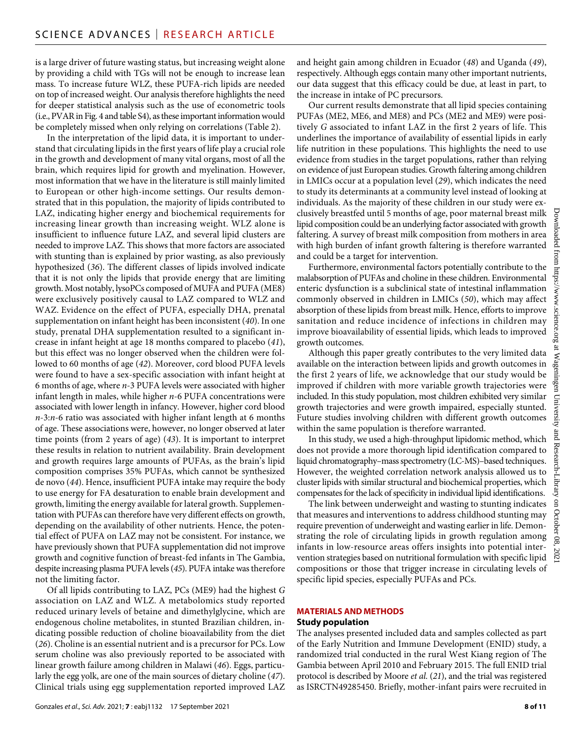is a large driver of future wasting status, but increasing weight alone by providing a child with TGs will not be enough to increase lean mass. To increase future WLZ, these PUFA-rich lipids are needed on top of increased weight. Our analysis therefore highlights the need for deeper statistical analysis such as the use of econometric tools (i.e., PVAR in Fig. 4 and table S4), as these important information would be completely missed when only relying on correlations (Table 2).

In the interpretation of the lipid data, it is important to understand that circulating lipids in the first years of life play a crucial role in the growth and development of many vital organs, most of all the brain, which requires lipid for growth and myelination. However, most information that we have in the literature is still mainly limited to European or other high-income settings. Our results demonstrated that in this population, the majority of lipids contributed to LAZ, indicating higher energy and biochemical requirements for increasing linear growth than increasing weight. WLZ alone is insufficient to influence future LAZ, and several lipid clusters are needed to improve LAZ. This shows that more factors are associated with stunting than is explained by prior wasting, as also previously hypothesized (*36*). The different classes of lipids involved indicate that it is not only the lipids that provide energy that are limiting growth. Most notably, lysoPCs composed of MUFA and PUFA (ME8) were exclusively positively causal to LAZ compared to WLZ and WAZ. Evidence on the effect of PUFA, especially DHA, prenatal supplementation on infant height has been inconsistent (*40*). In one study, prenatal DHA supplementation resulted to a significant increase in infant height at age 18 months compared to placebo (*41*), but this effect was no longer observed when the children were followed to 60 months of age (*42*). Moreover, cord blood PUFA levels were found to have a sex-specific association with infant height at 6 months of age, where *n*-3 PUFA levels were associated with higher infant length in males, while higher *n*-6 PUFA concentrations were associated with lower length in infancy. However, higher cord blood *n*-3:*n*-6 ratio was associated with higher infant length at 6 months of age. These associations were, however, no longer observed at later time points (from 2 years of age) (*43*). It is important to interpret these results in relation to nutrient availability. Brain development and growth requires large amounts of PUFAs, as the brain's lipid composition comprises 35% PUFAs, which cannot be synthesized de novo (*44*). Hence, insufficient PUFA intake may require the body to use energy for FA desaturation to enable brain development and growth, limiting the energy available for lateral growth. Supplementation with PUFAs can therefore have very different effects on growth, depending on the availability of other nutrients. Hence, the potential effect of PUFA on LAZ may not be consistent. For instance, we have previously shown that PUFA supplementation did not improve growth and cognitive function of breast-fed infants in The Gambia, despite increasing plasma PUFA levels (*45*). PUFA intake was therefore not the limiting factor.

Of all lipids contributing to LAZ, PCs (ME9) had the highest *G* association on LAZ and WLZ. A metabolomics study reported reduced urinary levels of betaine and dimethylglycine, which are endogenous choline metabolites, in stunted Brazilian children, indicating possible reduction of choline bioavailability from the diet (*26*). Choline is an essential nutrient and is a precursor for PCs. Low serum choline was also previously reported to be associated with linear growth failure among children in Malawi (*46*). Eggs, particularly the egg yolk, are one of the main sources of dietary choline (*47*). Clinical trials using egg supplementation reported improved LAZ

and height gain among children in Ecuador (*48*) and Uganda (*49*), respectively. Although eggs contain many other important nutrients, our data suggest that this efficacy could be due, at least in part, to the increase in intake of PC precursors.

Our current results demonstrate that all lipid species containing PUFAs (ME2, ME6, and ME8) and PCs (ME2 and ME9) were positively *G* associated to infant LAZ in the first 2 years of life. This underlines the importance of availability of essential lipids in early life nutrition in these populations. This highlights the need to use evidence from studies in the target populations, rather than relying on evidence of just European studies. Growth faltering among children in LMICs occur at a population level (*29*), which indicates the need to study its determinants at a community level instead of looking at individuals. As the majority of these children in our study were exclusively breastfed until 5 months of age, poor maternal breast milk lipid composition could be an underlying factor associated with growth faltering. A survey of breast milk composition from mothers in area with high burden of infant growth faltering is therefore warranted and could be a target for intervention.

Furthermore, environmental factors potentially contribute to the malabsorption of PUFAs and choline in these children. Environmental enteric dysfunction is a subclinical state of intestinal inflammation commonly observed in children in LMICs (*50*), which may affect absorption of these lipids from breast milk. Hence, efforts to improve sanitation and reduce incidence of infections in children may improve bioavailability of essential lipids, which leads to improved growth outcomes.

Although this paper greatly contributes to the very limited data available on the interaction between lipids and growth outcomes in the first 2 years of life, we acknowledge that our study would be improved if children with more variable growth trajectories were included. In this study population, most children exhibited very similar growth trajectories and were growth impaired, especially stunted. Future studies involving children with different growth outcomes within the same population is therefore warranted.

In this study, we used a high-throughput lipidomic method, which does not provide a more thorough lipid identification compared to liquid chromatography–mass spectrometry (LC-MS)–based techniques. However, the weighted correlation network analysis allowed us to cluster lipids with similar structural and biochemical properties, which compensates for the lack of specificity in individual lipid identifications.

The link between underweight and wasting to stunting indicates that measures and interventions to address childhood stunting may require prevention of underweight and wasting earlier in life. Demonstrating the role of circulating lipids in growth regulation among infants in low-resource areas offers insights into potential intervention strategies based on nutritional formulation with specific lipid compositions or those that trigger increase in circulating levels of specific lipid species, especially PUFAs and PCs.

#### **MATERIALS AND METHODS**

#### **Study population**

The analyses presented included data and samples collected as part of the Early Nutrition and Immune Development (ENID) study, a randomized trial conducted in the rural West Kiang region of The Gambia between April 2010 and February 2015. The full ENID trial protocol is described by Moore *et al*. (*21*), and the trial was registered as ISRCTN49285450. Briefly, mother-infant pairs were recruited in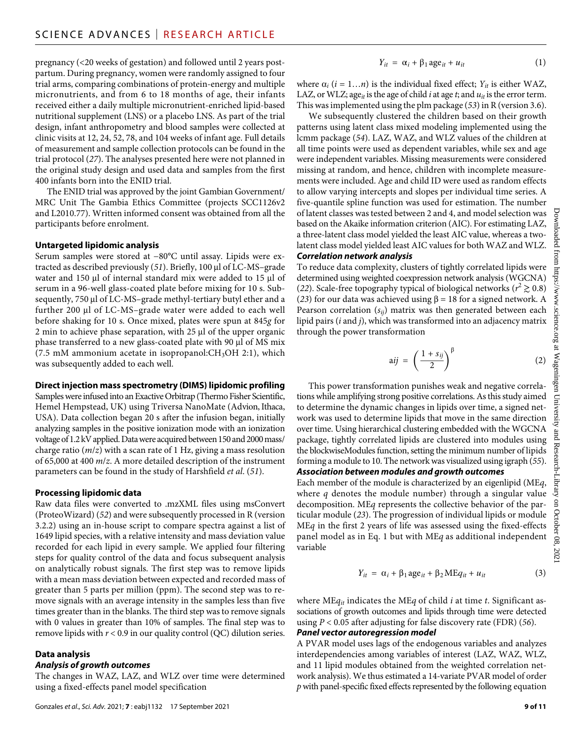pregnancy (<20 weeks of gestation) and followed until 2 years postpartum. During pregnancy, women were randomly assigned to four trial arms, comparing combinations of protein-energy and multiple micronutrients, and from 6 to 18 months of age, their infants received either a daily multiple micronutrient-enriched lipid-based nutritional supplement (LNS) or a placebo LNS. As part of the trial design, infant anthropometry and blood samples were collected at clinic visits at 12, 24, 52, 78, and 104 weeks of infant age. Full details of measurement and sample collection protocols can be found in the trial protocol (*27*). The analyses presented here were not planned in the original study design and used data and samples from the first 400 infants born into the ENID trial.

The ENID trial was approved by the joint Gambian Government/ MRC Unit The Gambia Ethics Committee (projects SCC1126v2 and L2010.77). Written informed consent was obtained from all the participants before enrolment.

#### **Untargeted lipidomic analysis**

Serum samples were stored at −80°C until assay. Lipids were extracted as described previously (51). Briefly, 100 µl of LC-MS-grade water and 150  $\mu$ l of internal standard mix were added to 15  $\mu$ l of serum in a 96-well glass-coated plate before mixing for 10 s. Subsequently, 750 µl of LC-MS–grade methyl-tertiary butyl ether and a further 200  $\mu$ l of LC-MS–grade water were added to each well before shaking for 10 s. Once mixed, plates were spun at 845*g* for  $2$  min to achieve phase separation, with  $25 \mu$  of the upper organic phase transferred to a new glass-coated plate with 90 µl of MS mix (7.5 mM ammonium acetate in isopropanol: $CH<sub>3</sub>OH$  2:1), which was subsequently added to each well.

#### **Direct injection mass spectrometry (DIMS) lipidomic profiling**

Samples were infused into an Exactive Orbitrap (Thermo Fisher Scientific, Hemel Hempstead, UK) using Triversa NanoMate (Advion, Ithaca, USA). Data collection began 20 s after the infusion began, initially analyzing samples in the positive ionization mode with an ionization voltage of 1.2 kV applied. Data were acquired between 150 and 2000 mass/ charge ratio (*m*/*z*) with a scan rate of 1 Hz, giving a mass resolution of 65,000 at 400 *m*/*z*. A more detailed description of the instrument parameters can be found in the study of Harshfield *et al*. (*51*).

#### **Processing lipidomic data**

Raw data files were converted to .mzXML files using msConvert (ProteoWizard) (*52*) and were subsequently processed in R (version 3.2.2) using an in-house script to compare spectra against a list of 1649 lipid species, with a relative intensity and mass deviation value recorded for each lipid in every sample. We applied four filtering steps for quality control of the data and focus subsequent analysis on analytically robust signals. The first step was to remove lipids with a mean mass deviation between expected and recorded mass of greater than 5 parts per million (ppm). The second step was to remove signals with an average intensity in the samples less than five times greater than in the blanks. The third step was to remove signals with 0 values in greater than 10% of samples. The final step was to remove lipids with  $r < 0.9$  in our quality control (QC) dilution series.

# **Data analysis**

### *Analysis of growth outcomes*

The changes in WAZ, LAZ, and WLZ over time were determined using a fixed-effects panel model specification

$$
Y_{it} = \alpha_i + \beta_1 \text{age}_{it} + u_{it} \tag{1}
$$

where  $\alpha_i$  ( $i = 1...n$ ) is the individual fixed effect;  $Y_{it}$  is either WAZ, LAZ, or WLZ; age<sub>*it*</sub> is the age of child *i* at age *t*; and  $u_{it}$  is the error term. This was implemented using the plm package (*53*) in R (version 3.6).

We subsequently clustered the children based on their growth patterns using latent class mixed modeling implemented using the lcmm package (*54*). LAZ, WAZ, and WLZ values of the children at all time points were used as dependent variables, while sex and age were independent variables. Missing measurements were considered missing at random, and hence, children with incomplete measurements were included. Age and child ID were used as random effects to allow varying intercepts and slopes per individual time series. A five-quantile spline function was used for estimation. The number of latent classes was tested between 2 and 4, and model selection was based on the Akaike information criterion (AIC). For estimating LAZ, a three-latent class model yielded the least AIC value, whereas a twolatent class model yielded least AIC values for both WAZ and WLZ.

#### *Correlation network analysis*

To reduce data complexity, clusters of tightly correlated lipids were determined using weighted coexpression network analysis (WGCNA) (22). Scale-free topography typical of biological networks ( $r^2 \gtrsim 0.8$ ) (23) for our data was achieved using  $\beta$  = 18 for a signed network. A Pearson correlation (*sij*) matrix was then generated between each lipid pairs (*i* and *j*), which was transformed into an adjacency matrix through the power transformation

$$
aij = \left(\frac{1+s_{ij}}{2}\right)^{\beta} \tag{2}
$$

This power transformation punishes weak and negative correlations while amplifying strong positive correlations. As this study aimed to determine the dynamic changes in lipids over time, a signed network was used to determine lipids that move in the same direction over time. Using hierarchical clustering embedded with the WGCNA package, tightly correlated lipids are clustered into modules using the blockwiseModules function, setting the minimum number of lipids forming a module to 10. The network was visualized using igraph (*55*). *Association between modules and growth outcomes*

Each member of the module is characterized by an eigenlipid (ME*q*, where *q* denotes the module number) through a singular value decomposition. ME*q* represents the collective behavior of the particular module (*23*). The progression of individual lipids or module ME*q* in the first 2 years of life was assessed using the fixed-effects panel model as in Eq. 1 but with ME*q* as additional independent variable

$$
Y_{it} = \alpha_i + \beta_1 age_{it} + \beta_2 MEq_{it} + u_{it}
$$
 (3)

where ME*qit* indicates the ME*q* of child *i* at time *t*. Significant associations of growth outcomes and lipids through time were detected using *P* < 0.05 after adjusting for false discovery rate (FDR) (*56*).

#### *Panel vector autoregression model*

A PVAR model uses lags of the endogenous variables and analyzes interdependencies among variables of interest (LAZ, WAZ, WLZ, and 11 lipid modules obtained from the weighted correlation network analysis). We thus estimated a 14-variate PVAR model of order *p* with panel-specific fixed effects represented by the following equation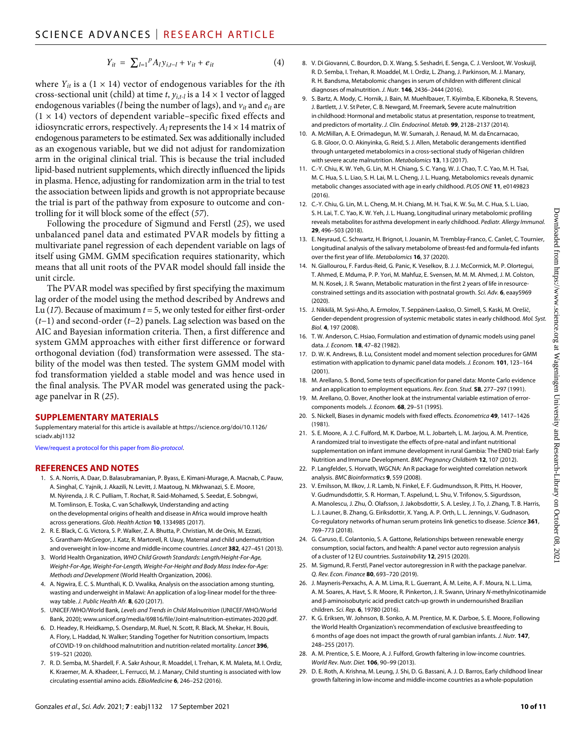$$
Y_{it} = \sum_{l=1}^{P} A_{l} y_{i,t-l} + v_{it} + e_{it}
$$
 (4)

where  $Y_{it}$  is a (1  $\times$  14) vector of endogenous variables for the *i*th cross-sectional unit (child) at time *t*,  $y_{i,t-l}$  is a 14  $\times$  1 vector of lagged endogenous variables (*l* being the number of lags), and *vit* and *eit* are  $(1 \times 14)$  vectors of dependent variable–specific fixed effects and idiosyncratic errors, respectively.  $A_l$  represents the  $14 \times 14$  matrix of endogenous parameters to be estimated. Sex was additionally included as an exogenous variable, but we did not adjust for randomization arm in the original clinical trial. This is because the trial included lipid-based nutrient supplements, which directly influenced the lipids in plasma. Hence, adjusting for randomization arm in the trial to test the association between lipids and growth is not appropriate because the trial is part of the pathway from exposure to outcome and controlling for it will block some of the effect (*57*).

Following the procedure of Sigmund and Ferstl (*25*), we used unbalanced panel data and estimated PVAR models by fitting a multivariate panel regression of each dependent variable on lags of itself using GMM. GMM specification requires stationarity, which means that all unit roots of the PVAR model should fall inside the unit circle.

The PVAR model was specified by first specifying the maximum lag order of the model using the method described by Andrews and Lu (*17*). Because of maximum *t* = 5, we only tested for either first-order (*t*−1) and second-order (*t*−2) panels. Lag selection was based on the AIC and Bayesian information criteria. Then, a first difference and system GMM approaches with either first difference or forward orthogonal deviation (fod) transformation were assessed. The stability of the model was then tested. The system GMM model with fod transformation yielded a stable model and was hence used in the final analysis. The PVAR model was generated using the package panelvar in R (*25*).

#### **SUPPLEMENTARY MATERIALS**

Supplementary material for this article is available at [https://science.org/doi/10.1126/](https://science.org/doi/10.1126/sciadv.abj1132) [sciadv.abj1132](https://science.org/doi/10.1126/sciadv.abj1132)

[View/request a protocol for this paper from](https://en.bio-protocol.org/cjrap.aspx?eid=10.1126/sciadv.abj1132) *Bio-protocol*.

#### **REFERENCES AND NOTES**

- 1. S. A. Norris, A. Daar, D. Balasubramanian, P. Byass, E. Kimani-Murage, A. Macnab, C. Pauw, A. Singhal, C. Yajnik, J. Akazili, N. Levitt, J. Maatoug, N. Mkhwanazi, S. E. Moore, M. Nyirenda, J. R. C. Pulliam, T. Rochat, R. Said-Mohamed, S. Seedat, E. Sobngwi, M. Tomlinson, E. Toska, C. van Schalkwyk, Understanding and acting on the developmental origins of health and disease in Africa would improve health across generations. *Glob. Health Action* **10**, 1334985 (2017).
- 2. R. E. Black, C. G. Victora, S. P. Walker, Z. A. Bhutta, P. Christian, M. de Onis, M. Ezzati, S. Grantham-McGregor, J. Katz, R. Martorell, R. Uauy, Maternal and child undernutrition and overweight in low-income and middle-income countries. *Lancet* **382**, 427–451 (2013).
- 3. World Health Organization, *WHO Child Growth Standards: Length/Height-For-Age, Weight-For-Age, Weight-For-Length, Weight-For-Height and Body Mass Index-for-Age: Methods and Development* (World Health Organization, 2006).
- 4. A. Ngwira, E. C. S. Munthali, K. D. Vwalika, Analysis on the association among stunting, wasting and underweight in Malawi: An application of a log-linear model for the threeway table. *J. Public Health Afr.* **8**, 620 (2017).
- 5. UNICEF/WHO/World Bank, *Levels and Trends in Child Malnutrition* (UNICEF/WHO/World Bank, 2020); [www.unicef.org/media/69816/file/Joint-malnutrition-estimates-2020.pdf](http://www.unicef.org/media/69816/file/Joint-malnutrition-estimates-2020.pdf).
- 6. D. Headey, R. Heidkamp, S. Osendarp, M. Ruel, N. Scott, R. Black, M. Shekar, H. Bouis, A. Flory, L. Haddad, N. Walker; Standing Together for Nutrition consortium, Impacts of COVID-19 on childhood malnutrition and nutrition-related mortality. *Lancet* **396**, 519–521 (2020).
- 7. R. D. Semba, M. Shardell, F. A. Sakr Ashour, R. Moaddel, I. Trehan, K. M. Maleta, M. I. Ordiz, K. Kraemer, M. A. Khadeer, L. Ferrucci, M. J. Manary, Child stunting is associated with low circulating essential amino acids. *EBioMedicine* **6**, 246–252 (2016).
- 8. V. Di Giovanni, C. Bourdon, D. X. Wang, S. Seshadri, E. Senga, C. J. Versloot, W. Voskuijl, R. D. Semba, I. Trehan, R. Moaddel, M. I. Ordiz, L. Zhang, J. Parkinson, M. J. Manary, R. H. Bandsma, Metabolomic changes in serum of children with different clinical diagnoses of malnutrition. *J. Nutr.* **146**, 2436–2444 (2016).
- 9. S. Bartz, A. Mody, C. Hornik, J. Bain, M. Muehlbauer, T. Kiyimba, E. Kiboneka, R. Stevens, J. Bartlett, J. V. St Peter, C. B. Newgard, M. Freemark, Severe acute malnutrition in childhood: Hormonal and metabolic status at presentation, response to treatment, and predictors of mortality. *J. Clin. Endocrinol. Metab.* **99**, 2128–2137 (2014).
- 10. A. McMillan, A. E. Orimadegun, M. W. Sumarah, J. Renaud, M. M. da Encarnacao, G. B. Gloor, O. O. Akinyinka, G. Reid, S. J. Allen, Metabolic derangements identified through untargeted metabolomics in a cross-sectional study of Nigerian children with severe acute malnutrition. *Metabolomics* **13**, 13 (2017).
- 11. C.-Y. Chiu, K. W. Yeh, G. Lin, M. H. Chiang, S. C. Yang, W. J. Chao, T. C. Yao, M. H. Tsai, M. C. Hua, S. L. Liao, S. H. Lai, M. L. Cheng, J. L. Huang, Metabolomics reveals dynamic metabolic changes associated with age in early childhood. *PLOS ONE* **11**, e0149823  $(2016)$
- 12. C.-Y. Chiu, G. Lin, M. L. Cheng, M. H. Chiang, M. H. Tsai, K. W. Su, M. C. Hua, S. L. Liao, S. H. Lai, T. C. Yao, K. W. Yeh, J. L. Huang, Longitudinal urinary metabolomic profiling reveals metabolites for asthma development in early childhood. *Pediatr. Allergy Immunol.* **29**, 496–503 (2018).
- 13. E. Neyraud, C. Schwartz, H. Brignot, I. Jouanin, M. Tremblay-Franco, C. Canlet, C. Tournier, Longitudinal analysis of the salivary metabolome of breast-fed and formula-fed infants over the first year of life. *Metabolomics* **16**, 37 (2020).
- 14. N. Giallourou, F. Fardus-Reid, G. Panic, K. Veselkov, B. J. J. McCormick, M. P. Olortegui, T. Ahmed, E. Mduma, P. P. Yori, M. Mahfuz, E. Svensen, M. M. M. Ahmed, J. M. Colston, M. N. Kosek, J. R. Swann, Metabolic maturation in the first 2 years of life in resourceconstrained settings and its association with postnatal growth. *Sci. Adv.* **6**, eaay5969 (2020).
- 15. J. Nikkilä, M. Sysi-Aho, A. Ermolov, T. Seppänen-Laakso, O. Simell, S. Kaski, M. Orešič, Gender-dependent progression of systemic metabolic states in early childhood. *Mol. Syst. Biol.* **4**, 197 (2008).
- 16. T. W. Anderson, C. Hsiao, Formulation and estimation of dynamic models using panel data. *J. Econom.* **18**, 47–82 (1982).
- 17. D. W. K. Andrews, B. Lu, Consistent model and moment selection procedures for GMM estimation with application to dynamic panel data models. *J. Econom.* **101**, 123–164 (2001).
- 18. M. Arellano, S. Bond, Some tests ofspecification for panel data: Monte Carlo evidence and an application to employment equations. *Rev. Econ. Stud.* **58**, 277–297 (1991).
- 19. M. Arellano, O. Bover, Another look at the instrumental variable estimation of errorcomponents models. *J. Econom.* **68**, 29–51 (1995).
- 20. S. Nickell, Biases in dynamic models with fixed effects. *Econometrica* **49**, 1417–1426 (1981).
- 21. S. E. Moore, A. J. C. Fulford, M. K. Darboe, M. L. Jobarteh, L. M. Jarjou, A. M. Prentice, A randomized trial to investigate the effects of pre-natal and infant nutritional supplementation on infant immune development in rural Gambia: The ENID trial: Early Nutrition and Immune Development. *BMC Pregnancy Childbirth* **12**, 107 (2012).
- 22. P. Langfelder, S. Horvath, WGCNA: An R package for weighted correlation network analysis. *BMC Bioinformatics* **9**, 559 (2008).
- 23. V. Emilsson, M. Ilkov, J. R. Lamb, N. Finkel, E. F. Gudmundsson, R. Pitts, H. Hoover, V. Gudmundsdottir, S. R. Horman, T. Aspelund, L. Shu, V. Trifonov, S. Sigurdsson, A. Manolescu, J. Zhu, Ö. Olafsson, J. Jakobsdottir, S. A. Lesley, J. To, J. Zhang, T. B. Harris, L. J. Launer, B. Zhang, G. Eiriksdottir, X. Yang, A. P. Orth, L. L. Jennings, V. Gudnason, Co-regulatory networks of human serum proteins link genetics to disease. *Science* **361**, 769–773 (2018).
- 24. G. Caruso, E. Colantonio, S. A. Gattone, Relationships between renewable energy consumption, social factors, and health: A panel vector auto regression analysis of a cluster of 12 EU countries. *Sustainability* **12**, 2915 (2020).
- 25. M. Sigmund, R. Ferstl, Panel vector autoregression in R with the package panelvar. *Q. Rev. Econ. Finance* **80**, 693–720 (2019).
- 26. J. Mayneris-Perxachs, A. A. M. Lima, R. L. Guerrant, Á. M. Leite, A. F. Moura, N. L. Lima, A. M. Soares, A. Havt, S. R. Moore, R. Pinkerton, J. R. Swann, Urinary *N*-methylnicotinamide and  $\beta$ -aminoisobutyric acid predict catch-up growth in undernourished Brazilian children. *Sci. Rep.* **6**, 19780 (2016).
- 27. K. G. Eriksen, W. Johnson, B. Sonko, A. M. Prentice, M. K. Darboe, S. E. Moore, Following the World Health Organization's recommendation of exclusive breastfeeding to 6 months of age does not impact the growth of rural gambian infants. *J. Nutr.* **147**, 248–255 (2017).
- 28. A. M. Prentice, S. E. Moore, A. J. Fulford, Growth faltering in low-income countries. *World Rev. Nutr. Diet.* **106**, 90–99 (2013).
- 29. D. E. Roth, A. Krishna, M. Leung, J. Shi, D. G. Bassani, A. J. D. Barros, Early childhood linear growth faltering in low-income and middle-income countries as a whole-population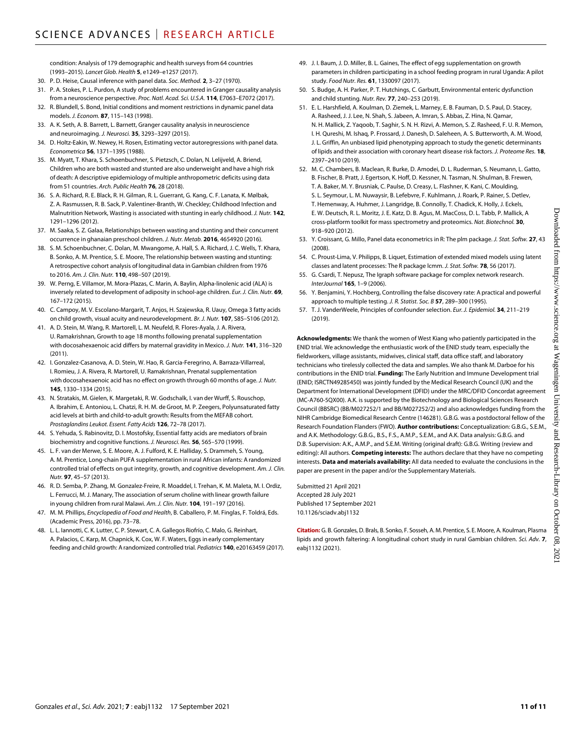condition: Analysis of 179 demographic and health surveys from 64 countries (1993–2015). *Lancet Glob. Health* **5**, e1249–e1257 (2017).

- 30. P. D. Heise, Causal inference with panel data. *Soc. Method.* **2**, 3–27 (1970).
- 31. P. A. Stokes, P. L. Purdon, A study of problems encountered in Granger causality analysis from a neuroscience perspective. *Proc. Natl. Acad. Sci. U.S.A.* **114**, E7063–E7072 (2017).
- 32. R. Blundell, S. Bond, Initial conditions and moment restrictions in dynamic panel data models. *J. Econom.* **87**, 115–143 (1998).
- 33. A. K. Seth, A. B. Barrett, L. Barnett, Granger causality analysis in neuroscience and neuroimaging. *J. Neurosci.* **35**, 3293–3297 (2015).
- 34. D. Holtz-Eakin, W. Newey, H. Rosen, Estimating vector autoregressions with panel data. *Econometrica* **56**, 1371–1395 (1988).
- 35. M. Myatt, T. Khara, S. Schoenbuchner, S. Pietzsch, C. Dolan, N. Lelijveld, A. Briend, Children who are both wasted and stunted are also underweight and have a high risk of death: A descriptive epidemiology of multiple anthropometric deficits using data from 51 countries. *Arch. Public Health* **76**, 28 (2018).
- 36. S. A. Richard, R. E. Black, R. H. Gilman, R. L. Guerrant, G. Kang, C. F. Lanata, K. Mølbak, Z. A. Rasmussen, R. B. Sack, P. Valentiner-Branth, W. Checkley; Childhood Infection and Malnutrition Network, Wasting is associated with stunting in early childhood. *J. Nutr.* **142**, 1291–1296 (2012).
- 37. M. Saaka, S. Z. Galaa, Relationships between wasting and stunting and their concurrent occurrence in ghanaian preschool children. *J. Nutr. Metab.* **2016**, 4654920 (2016).
- 38. S. M. Schoenbuchner, C. Dolan, M. Mwangome, A. Hall, S. A. Richard, J. C. Wells, T. Khara, B. Sonko, A. M. Prentice, S. E. Moore, The relationship between wasting and stunting: A retrospective cohort analysis of longitudinal data in Gambian children from 1976 to 2016. *Am. J. Clin. Nutr.* **110**, 498–507 (2019).
- 39. W. Perng, E. Villamor, M. Mora-Plazas, C. Marin, A. Baylin, Alpha-linolenic acid (ALA) is inversely related to development of adiposity in school-age children. *Eur. J. Clin. Nutr.* **69**, 167–172 (2015).
- 40. C. Campoy, M. V. Escolano-Margarit, T. Anjos, H. Szajewska, R. Uauy, Omega 3 fatty acids on child growth, visual acuity and neurodevelopment. *Br. J. Nutr.* **107**, S85–S106 (2012).
- 41. A. D. Stein, M. Wang, R. Martorell, L. M. Neufeld, R. Flores-Ayala, J. A. Rivera, U. Ramakrishnan, Growth to age 18 months following prenatal supplementation with docosahexaenoic acid differs by maternal gravidity in Mexico. *J. Nutr.* **141**, 316–320  $(2011)$
- 42. I. Gonzalez-Casanova, A. D. Stein, W. Hao, R. Garcia-Feregrino, A. Barraza-Villarreal, I. Romieu, J. A. Rivera, R. Martorell, U. Ramakrishnan, Prenatal supplementation with docosahexaenoic acid has no effect on growth through 60 months of age. *J. Nutr.* **145**, 1330–1334 (2015).
- 43. N. Stratakis, M. Gielen, K. Margetaki, R. W. Godschalk, I. van der Wurff, S. Rouschop, A. Ibrahim, E. Antoniou, L. Chatzi, R. H. M. de Groot, M. P. Zeegers, Polyunsaturated fatty acid levels at birth and child-to-adult growth: Results from the MEFAB cohort. *Prostaglandins Leukot. Essent. Fatty Acids* **126**, 72–78 (2017).
- 44. S. Yehuda, S. Rabinovitz, D. I. Mostofsky, Essential fatty acids are mediators of brain biochemistry and cognitive functions. *J. Neurosci. Res.* **56**, 565–570 (1999).
- 45. L. F. van der Merwe, S. E. Moore, A. J. Fulford, K. E. Halliday, S. Drammeh, S. Young, A. M. Prentice, Long-chain PUFA supplementation in rural African infants: A randomized controlled trial of effects on gut integrity, growth, and cognitive development. *Am. J. Clin. Nutr.* **97**, 45–57 (2013).
- 46. R. D. Semba, P. Zhang, M. Gonzalez-Freire, R. Moaddel, I. Trehan, K. M. Maleta, M. I. Ordiz, L. Ferrucci, M. J. Manary, The association of serum choline with linear growth failure in young children from rural Malawi. *Am. J. Clin. Nutr.* **104**, 191–197 (2016).
- 47. M. M. Phillips, *Encyclopedia of Food and Health*, B. Caballero, P. M. Finglas, F. Toldrá, Eds. (Academic Press, 2016), pp. 73–78.
- 48. L. L. Iannotti, C. K. Lutter, C. P. Stewart, C. A. Gallegos Riofrío, C. Malo, G. Reinhart, A. Palacios, C. Karp, M. Chapnick, K. Cox, W. F. Waters, Eggs in early complementary feeding and child growth: A randomized controlled trial. *Pediatrics* **140**, e20163459 (2017).
- 49. J. I. Baum, J. D. Miller, B. L. Gaines, The effect of egg supplementation on growth parameters in children participating in a school feeding program in rural Uganda: A pilot study. *Food Nutr. Res.* **61**, 1330097 (2017).
- 50. S. Budge, A. H. Parker, P. T. Hutchings, C. Garbutt, Environmental enteric dysfunction and child stunting. *Nutr. Rev.* **77**, 240–253 (2019).
- 51. E. L. Harshfield, A. Koulman, D. Ziemek, L. Marney, E. B. Fauman, D. S. Paul, D. Stacey, A. Rasheed, J. J. Lee, N. Shah, S. Jabeen, A. Imran, S. Abbas, Z. Hina, N. Qamar, N. H. Mallick, Z. Yaqoob, T. Saghir, S. N. H. Rizvi, A. Memon, S. Z. Rasheed, F. U. R. Memon, I. H. Qureshi, M. Ishaq, P. Frossard, J. Danesh, D. Saleheen, A. S. Butterworth, A. M. Wood, J. L. Griffin, An unbiased lipid phenotyping approach to study the genetic determinants of lipids and their association with coronary heart disease risk factors. *J. Proteome Res.* **18**, 2397–2410 (2019).
- 52. M. C. Chambers, B. Maclean, R. Burke, D. Amodei, D. L. Ruderman, S. Neumann, L. Gatto, B. Fischer, B. Pratt, J. Egertson, K. Hoff, D. Kessner, N. Tasman, N. Shulman, B. Frewen, T. A. Baker, M. Y. Brusniak, C. Paulse, D. Creasy, L. Flashner, K. Kani, C. Moulding, S. L. Seymour, L. M. Nuwaysir, B. Lefebvre, F. Kuhlmann, J. Roark, P. Rainer, S. Detlev, T. Hemenway, A. Huhmer, J. Langridge, B. Connolly, T. Chadick, K. Holly, J. Eckels, E. W. Deutsch, R. L. Moritz, J. E. Katz, D. B. Agus, M. MacCoss, D. L. Tabb, P. Mallick, A cross-platform toolkit for mass spectrometry and proteomics. *Nat. Biotechnol.* **30**, 918–920 (2012).
- 53. Y. Croissant, G. Millo, Panel data econometrics in R: The plm package. *J. Stat. Softw.* **27**, 43 (2008).
- 54. C. Proust-Lima, V. Philipps, B. Liquet, Estimation of extended mixed models using latent classes and latent processes: The R package lcmm. *J. Stat. Softw.* **78**, 56 (2017).
- 55. G. Csardi, T. Nepusz, The Igraph software package for complex network research. *InterJournal* **165**, 1–9 (2006).
- 56. Y. Benjamini, Y. Hochberg, Controlling the false discovery rate: A practical and powerful approach to multiple testing. *J. R. Statist. Soc. B* **57**, 289–300 (1995).
- 57. T. J. VanderWeele, Principles of confounder selection. *Eur. J. Epidemiol.* **34**, 211–219 (2019).

**Acknowledgments:** We thank the women of West Kiang who patiently participated in the ENID trial. We acknowledge the enthusiastic work of the ENID study team, especially the fieldworkers, village assistants, midwives, clinical staff, data office staff, and laboratory technicians who tirelessly collected the data and samples. We also thank M. Darboe for his contributions in the ENID trial. **Funding:** The Early Nutrition and Immune Development trial (ENID; ISRCTN49285450) was jointly funded by the Medical Research Council (UK) and the Department for International Development (DFID) under the MRC/DFID Concordat agreement (MC-A760-5QX00). A.K. is supported by the Biotechnology and Biological Sciences Research Council (BBSRC) (BB/M027252/1 and BB/M027252/2) and also acknowledges funding from the NIHR Cambridge Biomedical Research Centre (146281). G.B.G. was a postdoctoral fellow of the Research Foundation Flanders (FWO). **Author contributions:** Conceptualization: G.B.G., S.E.M., and A.K. Methodology: G.B.G., B.S., F.S., A.M.P., S.E.M., and A.K. Data analysis: G.B.G. and D.B. Supervision: A.K., A.M.P., and S.E.M. Writing (original draft): G.B.G. Writing (review and editing): All authors. **Competing interests:** The authors declare that they have no competing interests. **Data and materials availability:** All data needed to evaluate the conclusions in the paper are present in the paper and/or the Supplementary Materials.

Submitted 21 April 2021 Accepted 28 July 2021 Published 17 September 2021 10.1126/sciadv.abj1132

**Citation:** G. B. Gonzales, D. Brals, B. Sonko, F. Sosseh, A. M. Prentice, S. E. Moore, A. Koulman, Plasma lipids and growth faltering: A longitudinal cohort study in rural Gambian children. *Sci. Adv.* **7**, eabj1132 (2021).